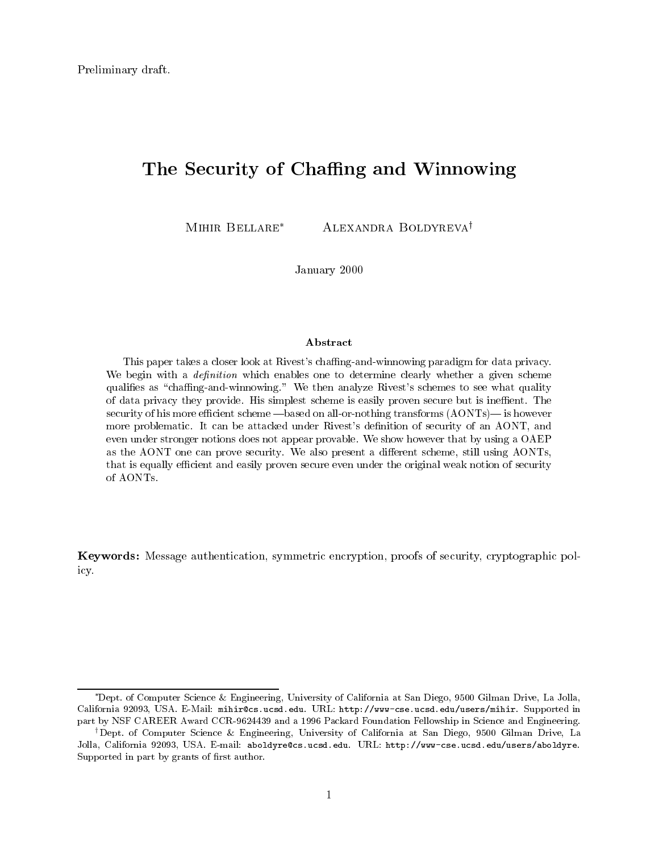# The Security of Chaffing and Winnowing

MIHIR BELLARE<sup>\*</sup> ALEXANDRA BOLDYREVA<sup>†</sup>

January 2000

### Abstract

This paper takes a closer look at Rivest's chaffing-and-winnowing paradigm for data privacy. We begin with a *definition* which enables one to determine clearly whether a given scheme qualifies as "chaffing-and-winnowing." We then analyze Rivest's schemes to see what quality of data privacy they provide. His simplest scheme is easily proven secure but is ineffient. The security of his more efficient scheme  $-$ based on all-or-nothing transforms  $(AONTs)$  is however more problematic. It can be attacked under Rivest's definition of security of an AONT, and even under stronger notions does not appear provable. We show however that by using a OAEP as the AONT one can prove security. We also present a different scheme, still using AONTs, that is equally efficient and easily proven secure even under the original weak notion of security of AONTs.

Keywords: Message authentication, symmetric encryption, proofs of security, cryptographic policy.

Dept. of Computer Science & Engineering, University of California at San Diego, 9500 Gilman Drive, La Jolla, California 92093, USA. E-Mail: mihir@cs.ucsd.edu. URL: http://www-cse.ucsd.edu/users/mihir. Supported in part by NSF CAREER Award CCR-9624439 and a 1996 Packard Foundation Fellowship in Science and Engineering.

<sup>&</sup>lt;sup>†</sup>Dept. of Computer Science & Engineering, University of California at San Diego, 9500 Gilman Drive, La Jolla, California 92093, USA. E-mail: aboldyre@cs.ucsd.edu. URL: http://www-cse.ucsd.edu/users/aboldyre. Supported in part by grants of first author.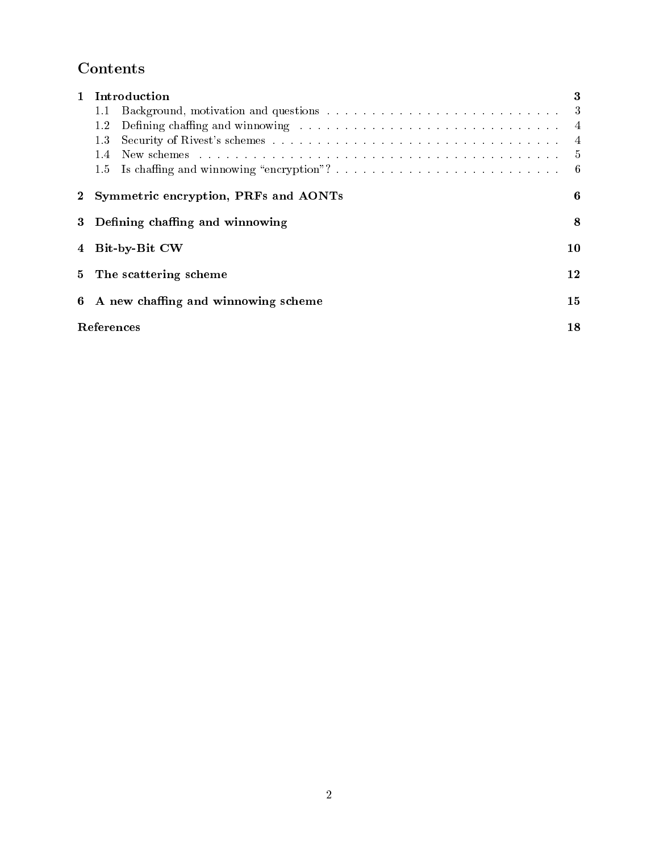# Contents

| $\mathbf{1}$ | Introduction                                                                                                                                                                                                                          | 3              |
|--------------|---------------------------------------------------------------------------------------------------------------------------------------------------------------------------------------------------------------------------------------|----------------|
|              | 1.1                                                                                                                                                                                                                                   |                |
|              | Defining chaffing and winnowing respectively in the set of the set of the set of the set of the set of the set of the set of the set of the set of the set of the set of the set of the set of the set of the set of the set o<br>1.2 | $\overline{4}$ |
|              | 1.3                                                                                                                                                                                                                                   | 4              |
|              | 1.4                                                                                                                                                                                                                                   | -5             |
|              | 1.5                                                                                                                                                                                                                                   | -6             |
| $2^{\circ}$  | Symmetric encryption, PRFs and AONTs                                                                                                                                                                                                  | 6              |
| 3            | Defining chaffing and winnowing                                                                                                                                                                                                       | 8              |
| 4            | Bit-by-Bit CW                                                                                                                                                                                                                         | 10             |
| 5            | The scattering scheme                                                                                                                                                                                                                 | 12             |
| 6            | A new chaffing and winnowing scheme                                                                                                                                                                                                   | 15             |
|              | References                                                                                                                                                                                                                            | 18             |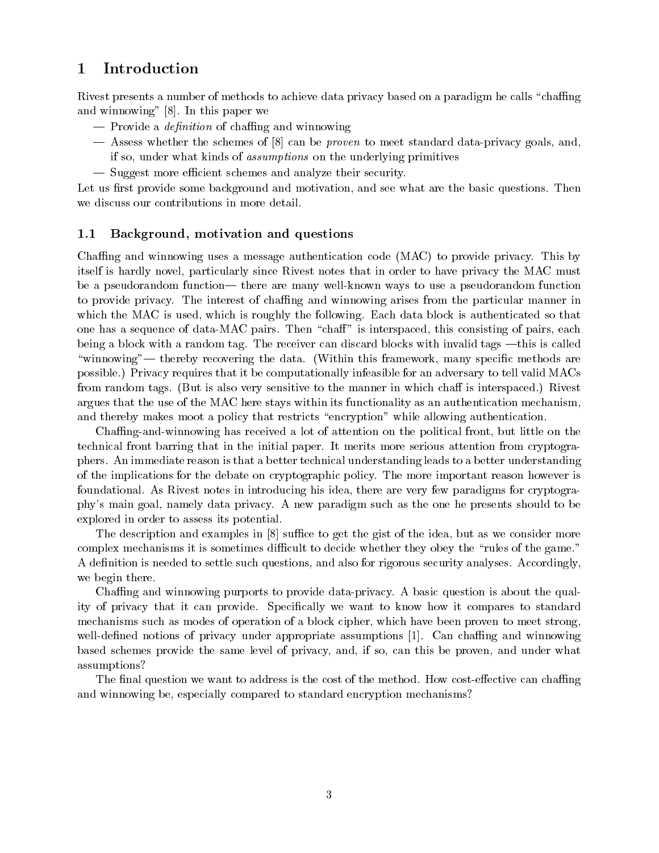### **Introduction**  $\mathbf 1$

Rivest presents a number of methods to achieve data privacy based on a paradigm he calls "chaffing" and winnowing" [8]. In this paper we

- $-$  Provide a *definition* of chaffing and winnowing
- | Assess whether the schemes of [8] can be proven to meet standard data-privacy goals, and, if so, under what kinds of assumptions on the underlying primitives
- $-$  Suggest more efficient schemes and analyze their security.

Let us first provide some background and motivation, and see what are the basic questions. Then we discuss our contributions in more detail.

#### 1.1Background, motivation and questions

Chang and winnowing uses a message authentication code (MAC) to provide privacy. This by itself is hardly novel, particularly since Rivest notes that in order to have privacy the MAC must be a pseudorandom function— there are many well-known ways to use a pseudorandom function to provide privacy. The interest of chaffing and winnowing arises from the particular manner in which the MAC is used, which is roughly the following. Each data block is authenticated so that one has a sequence of data-MAC pairs. Then "chaff" is interspaced, this consisting of pairs, each being a block with a random tag. The receiver can discard blocks with invalid tags —this is called "winnowing"— thereby recovering the data. (Within this framework, many specific methods are possible.) Privacy requires that it be computationally infeasible for an adversary to tell valid MACs from random tags. (But is also very sensitive to the manner in which chaff is interspaced.) Rivest argues that the use of the MAC here stays within its functionality as an authentication mechanism, and thereby makes moot a policy that restricts "encryption" while allowing authentication.

Chang-and-winnowing has received a lot of attention on the political front, but little on the technical front barring that in the initial paper. It merits more serious attention from cryptographers. An immediate reason is that a better technical understanding leads to a better understanding of the implications for the debate on cryptographic policy. The more important reason however is foundational. As Rivest notes in introducing his idea, there are very few paradigms for cryptography's main goal, namely data privacy. A new paradigm such asthe one he presents should to be explored in order to assess its potential.

The description and examples in  $[8]$  suffice to get the gist of the idea, but as we consider more complex mechanisms it is sometimes difficult to decide whether they obey the "rules of the game." A definition is needed to settle such questions, and also for rigorous security analyses. Accordingly, we begin there.

Chaffing and winnowing purports to provide data-privacy. A basic question is about the quality of privacy that it can provide. Specically we want to know how it compares to standard mechanisms such as modes of operation of a block cipher, which have been proven to meet strong, well-defined notions of privacy under appropriate assumptions [1]. Can chaffing and winnowing based schemes provide the same level of privacy, and, if so, can this be proven, and under what assumptions?

The final question we want to address is the cost of the method. How cost-effective can chaffing and winnowing be, especially compared to standard encryption mechanisms?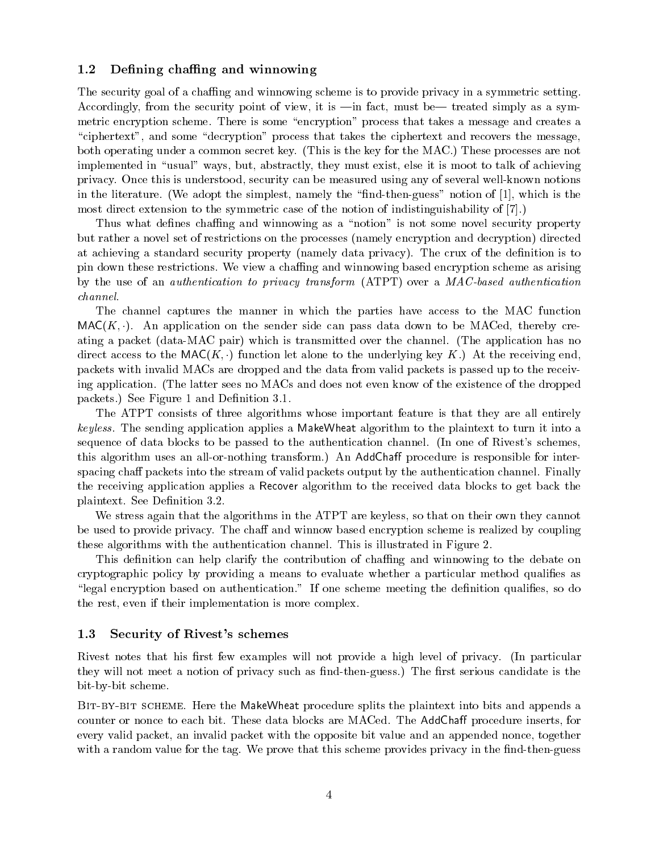#### 1.2Defining chaffing and winnowing

The security goal of a chaffing and winnowing scheme is to provide privacy in a symmetric setting. Accordingly, from the security point of view, it is  $\text{min}$  fact, must be treated simply as a symmetric encryption scheme. There is some "encryption" process that takes a message and creates a "ciphertext", and some "decryption" process that takes the ciphertext and recovers the message. both operating under a common secret key. (This is the key for the MAC.) These processes are not implemented in "usual" ways, but, abstractly, they must exist, else it is moot to talk of achieving privacy. Once this is understood, security can be measured using any of several well-known notions in the literature. (We adopt the simplest, namely the "find-then-guess" notion of  $[1]$ , which is the most direct extension to the symmetric case of the notion of indistinguishability of [7].)

Thus what defines chaffing and winnowing as a "notion" is not some novel security property but rather a novel set of restrictions on the processes (namely encryption and decryption) directed at achieving a standard security property (namely data privacy). The crux of the denition is to pin down these restrictions. We view a chang and winnowing based encryption scheme as arising by the use of an authentication to privacy transform (ATPT) over a MAC-based authentication channel.

The channel captures the manner in which the parties have access to the MAC function  $MAC(K, \cdot)$ . An application on the sender side can pass data down to be MACed, thereby creating a packet (data-MAC pair) which is transmitted over the channel. (The application has no direct access to the  $\text{MAC}(K, \cdot)$  function let alone to the underlying key K.) At the receiving end, packets with invalid MACs are dropped and the data from valid packets is passed up to the receiving application. (The latter sees no MACs and does not even know of the existence of the dropped packets.) See Figure 1 and Definition 3.1.

The ATPT consists of three algorithms whose important feature is that they are all entirely keyless. The sending application applies a MakeWheat algorithm to the plaintext to turn it into a sequence of data blocks to be passed to the authentication channel. (In one of Rivest's schemes, this algorithm uses an all-or-nothing transform.) An AddChaff procedure is responsible for interspacing chaff packets into the stream of valid packets output by the authentication channel. Finally the receiving application applies a Recover algorithm to the received data blocks to get back the plaintext. See Definition 3.2.

We stress again that the algorithms in the ATPT are keyless, so that on their own they cannot be used to provide privacy. The chaff and winnow based encryption scheme is realized by coupling these algorithms with the authentication channel. This is illustrated in Figure 2.

This definition can help clarify the contribution of chaffing and winnowing to the debate on cryptographic policy by providing a means to evaluate whether a particular method qualies as "legal encryption based on authentication." If one scheme meeting the definition qualifies, so do the rest, even if their implementation is more complex.

#### 1.3Security of Rivest's schemes

Rivest notes that his first few examples will not provide a high level of privacy. (In particular they will not meet a notion of privacy such as find-then-guess.) The first serious candidate is the bit-by-bit scheme.

BIT-BY-BIT SCHEME. Here the MakeWheat procedure splits the plaintext into bits and appends a counter or nonce to each bit. These data blocks are MACed. The AddChaff procedure inserts, for every valid packet, an invalid packet with the opposite bit value and an appended nonce, together with a random value for the tag. We prove that this scheme provides privacy in the find-then-guess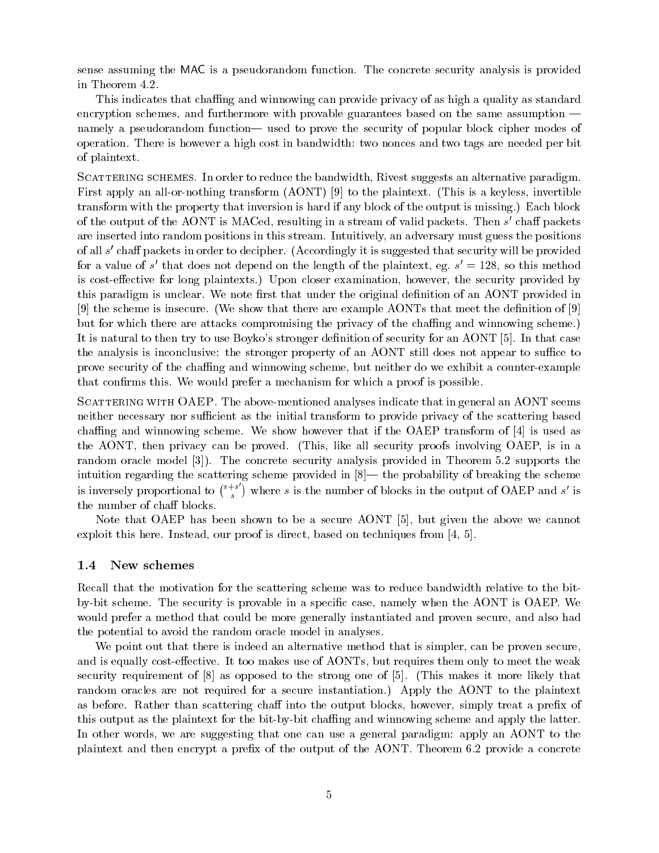sense assuming the MAC is a pseudorandom function. The concrete security analysis is provided in Theorem 4.2.

This indicates that chaffing and winnowing can provide privacy of as high a quality as standard encryption schemes, and furthermore with provable guarantees based on the same assumption  $\overline{\phantom{a}}$ namely a pseudorandom function— used to prove the security of popular block cipher modes of operation. There is however a high cost in bandwidth: two nonces and two tags are needed per bit of plaintext.

SCATTERING SCHEMES. In order to reduce the bandwidth, Rivest suggests an alternative paradigm. First apply an all-or-nothing transform (AONT) [9] to the plaintext. (This is a keyless, invertible transform with the property that inversion is hard if any block of the output is missing.) Each block of the output of the AONT is MACed, resulting in a stream of valid packets. Then  $s$  -chail packets are inserted into random positions in this stream. Intuitively, an adversary must guess the positions of all s <sup>0</sup> cha packets in order to decipher. (Accordingly it is suggested that security will be provided for a value of  $s$  -that does not depend on the length of the plaintext, eg.  $s = 128$ , so this method is cost-effective for long plaintexts.) Upon closer examination, however, the security provided by this paradigm is unclear. We note first that under the original definition of an AONT provided in  $[9]$  the scheme is insecure. (We show that there are example AONTs that meet the definition of  $[9]$ but for which there are attacks compromising the privacy of the chang and winnowing scheme.) It is natural to then try to use Boyko's stronger definition of security for an AONT [5]. In that case the analysis is inconclusive: the stronger property of an AONT still does not appear to suffice to prove security of the chang and winnowing scheme, but neither do we exhibit a counter-example that confirms this. We would prefer a mechanism for which a proof is possible.

SCATTERING WITH OAEP. The above-mentioned analyses indicate that in general an AONT seems neither necessary nor sufficient as the initial transform to provide privacy of the scattering based chaffing and winnowing scheme. We show however that if the OAEP transform of  $[4]$  is used as the AONT, then privacy can be proved. (This, like all security proofs involving OAEP, is in a random oracle model [3]). The concrete security analysis provided in Theorem 5.2 supports the intuition regarding the scattering scheme provided in  $[8]$ — the probability of breaking the scheme is inversely proportional to  $\binom{s+s}{s}$  where s is the number of blocks in the output of OAEP and s' is the number of chaff blocks.

Note that OAEP has been shown to be a secure AONT [5], but given the above we cannot exploit this here. Instead, our proof is direct, based on techniques from [4, 5].

### New schemes

Recall that the motivation for the scattering scheme was to reduce bandwidth relative to the bitby-bit scheme. The security is provable in a specic case, namely when the AONT is OAEP. We would prefer a method that could be more generally instantiated and proven secure, and also had the potential to avoid the random oracle model in analyses.

We point out that there is indeed an alternative method that is simpler, can be proven secure, and is equally cost-effective. It too makes use of AONTs, but requires them only to meet the weak security requirement of [8] as opposed to the strong one of [5]. (This makes it more likely that random oracles are not required for a secure instantiation.) Apply the AONT to the plaintext as before. Rather than scattering chaff into the output blocks, however, simply treat a prefix of this output as the plaintext for the bit-by-bit chang and winnowing scheme and apply the latter. In other words, we are suggesting that one can use a general paradigm: apply an AONT to the plaintext and then encrypt a prex of the output of the AONT. Theorem 6.2 provide a concrete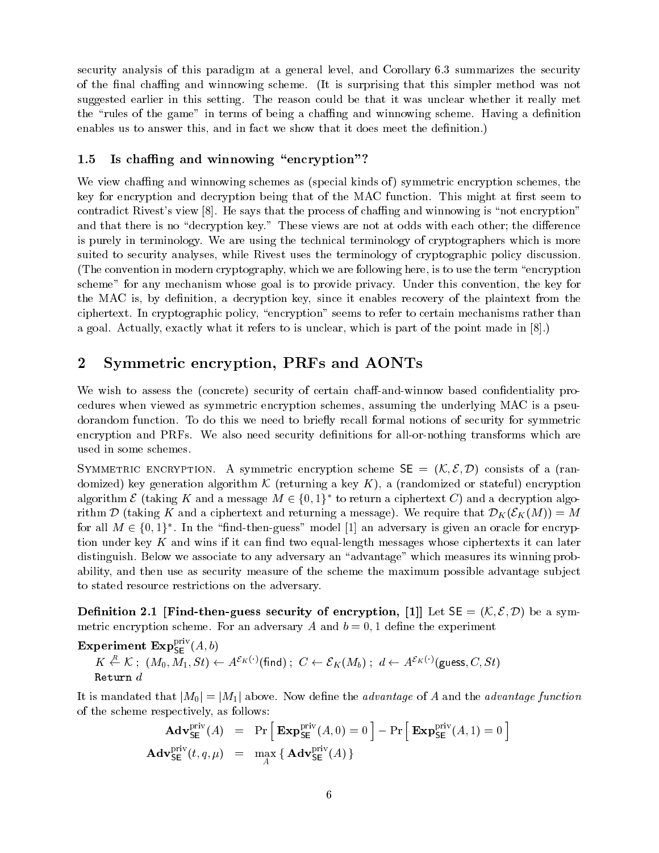security analysis of this paradigm at a general level, and Corollary 6.3 summarizes the security of the final chaffing and winnowing scheme. (It is surprising that this simpler method was not suggested earlier in this setting. The reason could be that it was unclear whether it really met the "rules of the game" in terms of being a chaffing and winnowing scheme. Having a definition enables us to answer this, and in fact we show that it does meet the definition.)

### 1.5Is chaffing and winnowing "encryption"?

We view chaffing and winnowing schemes as (special kinds of) symmetric encryption schemes, the key for encryption and decryption being that of the MAC function. This might at first seem to contradict Rivest's view  $[8]$ . He says that the process of chaffing and winnowing is "not encryption" and that there is no "decryption key." These views are not at odds with each other; the difference is purely in terminology. We are using the technical terminology of cryptographers which is more suited to security analyses, while Rivest uses the terminology of cryptographic policy discussion. (The convention in modern cryptography, which we are following here, is to use the term "encryption") scheme" for any mechanism whose goal is to provide privacy. Under this convention, the key for the MAC is, by definition, a decryption key, since it enables recovery of the plaintext from the ciphertext. In cryptographic policy, \encryption" seems to refer to certain mechanisms rather than a goal. Actually, exactly what it refers to is unclear, which is part of the point made in [8].)

## 2 Symmetric encryption, PRFs and AONTs

We wish to assess the (concrete) security of certain chaff-and-winnow based confidentiality procedures when viewed as symmetric encryption schemes, assuming the underlying MAC is a pseudorandom function. To do this we need to briefly recall formal notions of security for symmetric encryption and PRFs. We also need security definitions for all-or-nothing transforms which are used in some schemes.

SYMMETRIC ENCRYPTION. A symmetric encryption scheme  $SE = (K, \mathcal{E}, \mathcal{D})$  consists of a (randomized) key generation algorithm K (returning a key K), <sup>a</sup> (randomized orstateful) encryption algorithm  $\epsilon$  (taking  $\kappa$  and a message  $m \in \{0, 1\}$  to return a ciphertext  $C$ ) and a decryption algorithm D (taking B and a ciphert city and returning a message). We require that  $\Gamma$  (M)  $\Gamma$   $\Gamma$ for all  $M \in \{0, 1\}$ . In the "find-then-guess" model [1] an adversary is given an oracle for encryption under key  $K$  and wins if it can find two equal-length messages whose ciphertexts it can later distinguish. Below we associate to any adversary an "advantage" which measures its winning probability, and then use as security measure of the scheme the maximum possible advantage subject to stated resource restrictions on the adversary.

**Definition 2.1 [Find-then-guess security of encryption, [1]** Let  $SE = (K, \mathcal{E}, \mathcal{D})$  be a symmetric encryption scheme. For an adversary A and  $b = 0, 1$  define the experiment

**Experiment Exp<sub>SE</sub>**
$$
(A, b)
$$
  
 $K \stackrel{R}{\leftarrow} \mathcal{K}$ ;  $(M_0, M_1, St) \leftarrow A^{\mathcal{E}_K(\cdot)}$ (find);  $C \leftarrow \mathcal{E}_K(M_b)$ ;  $d \leftarrow A^{\mathcal{E}_K(\cdot)}$ (guess, C, St)  
Return d

It is mandated that  $|M_0| = |M_1|$  above. Now define the *advantage* of A and the *advantage function* of the scheme respectively, as follows:

$$
\mathbf{Adv}_{\mathsf{SE}}^{\text{priv}}(A) = \Pr\left[\mathbf{Exp}_{\mathsf{SE}}^{\text{priv}}(A,0) = 0\right] - \Pr\left[\mathbf{Exp}_{\mathsf{SE}}^{\text{priv}}(A,1) = 0\right]
$$
  

$$
\mathbf{Adv}_{\mathsf{SE}}^{\text{priv}}(t,q,\mu) = \max_{A} \left\{\mathbf{Adv}_{\mathsf{SE}}^{\text{priv}}(A)\right\}
$$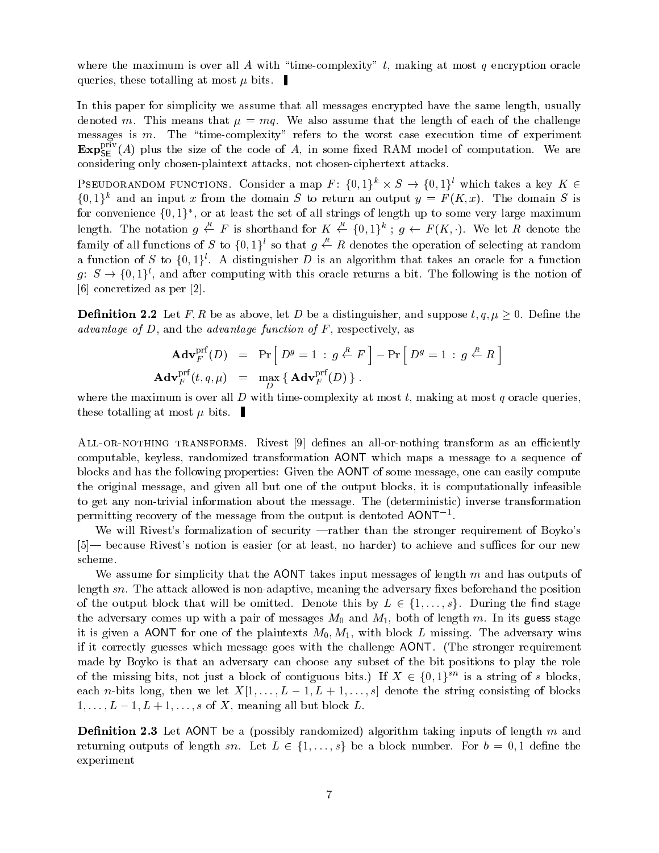where the maximum is over all A with "time-complexity" t, making at most q encryption oracle queries, these totalling at most  $\mu$  bits.

In this paper for simplicity we assume that all messages encrypted have the same length, usually denoted m. This means that  $\mu = mq$ . We also assume that the length of each of the challenge messages is  $m$ . The "time-complexity" refers to the worst case execution time of experiment  $\mathtt{Exp}_{\mathsf{SE}}^\bullet(A)$  plus the size of the code of A, in some fixed RAM model of computation. We are considering only chosen-plaintext attacks, not chosen-ciphertext attacks.

PSEUDORANDOM FUNCTIONS. CONSIDER A MAP  $F : \{0, 1\} \times S \rightarrow \{0, 1\}$  which takes a key  $K \in$  $\{0,1\}^k$  and an input x from the domain S to return an output  $y = F(K, x)$ . The domain S is for convenience  $\{0,1\}$  , or at least the set of all strings of length up to some very large maximum length. The notation  $g \leftarrow F$  is shorthand for  $K \leftarrow \{0,1\}^{\kappa}$ ;  $g \leftarrow F(K, \cdot)$ . We let R denote the family of all functions of S to  $\{0,1\}^l$  so that  $q \stackrel{R}{\leftarrow} R$  denotes the operation of selecting at random a function of S to  $\{0,1\}^l$ . A distinguisher D is an algorithm that takes an oracle for a function  $g: S \to \{0,1\}^l$ , and after computing with this oracle returns a bit. The following is the notion of [6] concretized as per [2].

**Definition 2.2** Let F, R be as above, let D be a distinguisher, and suppose  $t, q, \mu \geq 0$ . Define the advantage of  $D$ , and the advantage function of  $F$ , respectively, as

$$
\mathbf{Adv}_{F}^{\text{prf}}(D) = \Pr\left[D^{g} = 1 : g \stackrel{R}{\leftarrow} F\right] - \Pr\left[D^{g} = 1 : g \stackrel{R}{\leftarrow} R\right]
$$
\n
$$
\mathbf{Adv}_{F}^{\text{prf}}(t, q, \mu) = \max_{D} \left\{\mathbf{Adv}_{F}^{\text{prf}}(D)\right\}.
$$

where the maximum is over all  $D$  with time-complexity at most  $t$ , making at most  $q$  oracle queries, these totalling at most  $\mu$  bits.

ALL-OR-NOTHING TRANSFORMS. Rivest  $[9]$  defines an all-or-nothing transform as an efficiently computable, keyless, randomized transformation AONT which maps a message to a sequence of blocks and has the following properties: Given the AONT of some message, one can easily compute the original message, and given all but one of the output blocks, it is computationally infeasible to get any non-trivial information about the message. The (deterministic) inverse transformation permitting recovery of the message from the output is dentoted AONT1 .

We will Rivest's formalization of security —rather than the stronger requirement of Boyko's [5]— because Rivest's notion is easier (or at least, no harder) to achieve and suffices for our new scheme.

We assume for simplicity that the AONT takes input messages of length  $m$  and has outputs of length sn. The attack allowed is non-adaptive, meaning the adversary fixes beforehand the position of the output block that will be omitted. Denote the stage  $\mathcal{L}$   $\mathcal{L}$   $\mathcal{L}$  for  $\mathcal{L}$  and star state  $\mathcal{L}$ the adversary comes up with a pair of messages  $M_0$  and  $M_1$ , both of length m. In its guess stage it is given a AONT for one of the plaintexts  $M_0, M_1$ , with block L missing. The adversary wins if it correctly guesses which message goes with the challenge AONT. (The stronger requirement made by Boyko is that an adversary can choose any subset of the bit positions to play the role of the missing bits, not just a block of contiguous bits.) If  $A \in \{0,1\}$  is a string of s blocks, each n-bits long, then we let  $\mathcal{U}$  is a string consisting of blocks and string consisting of blocks and blocks are string of blocks and blocks are string of blocks and blocks are string of blocks and blocks are string  $1;$ ::::::L  $1;$  L  $1;$  L  $1;$  L  $1;$  L  $1;$  L  $1;$  L  $1;$  L  $1;$  L  $1;$  L  $1;$  L  $1;$  L  $1;$  L  $1;$  L  $1;$  L  $1;$  L  $1;$  L  $1;$  L  $1;$  L  $1;$  L  $1;$  L  $1;$  L  $1;$  L  $1;$  L  $1;$  L  $1;$  L  $1;$  L  $1;$  L  $1;$  L  $1;$  L  $1;$  L

**Definition 2.3** Let AONT be a (possibly randomized) algorithm taking inputs of length m and returning sn. Let  $\mathcal{C}$  be a block number of the and block number. For both  $\mathcal{C}$  is defined the problem of  $\mathcal{C}$ experiment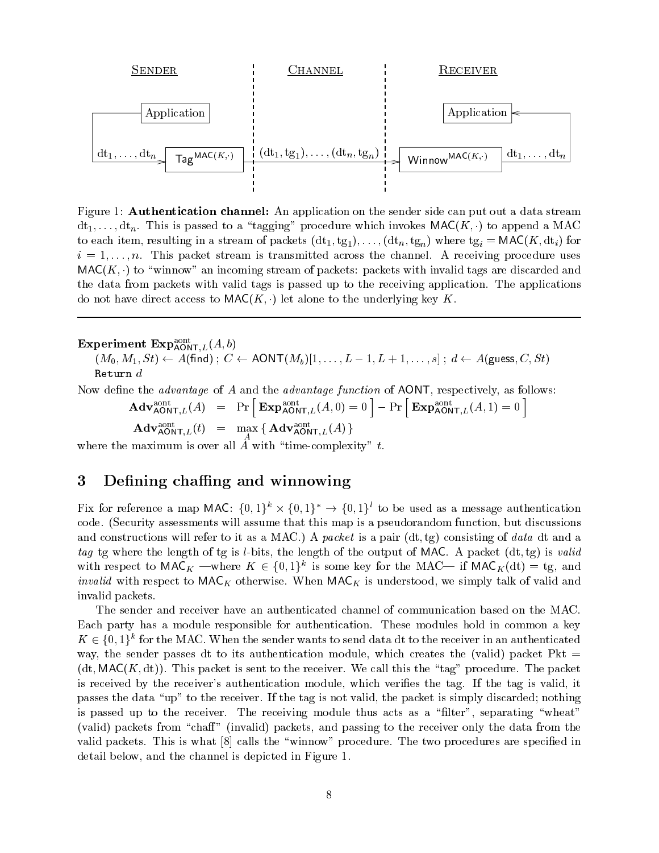

Figure 1: Authentication channel: An application on the sender side can put out a data stream  $dt_1,\ldots, dt_n$ . This is passed to a "tagging" procedure which invokes MAC(K, ) to append a MAC to each item, resulting in a stream of packets  $(dt_1, tg_1),\ldots, (dt_n, tg_n)$  where  $tg_i = \text{MAC}(K, dt_i)$  for  $i = 1, \ldots, n$ . This packet stream is transmitted across the channel. A receiving procedure uses  $MAC(K, \cdot)$  to "winnow" an incoming stream of packets: packets with invalid tags are discarded and the data from packets with valid tags is passed up to the receiving application. The applications do not have direct access to  $\mathsf{MAC}(K, \cdot)$  let alone to the underlying key K.

### Experiment  $\text{Exp}_{\text{AONT},L}^{aont}(A,b)$ AON I  $L$  (  $\rightarrow$  )  $\rightarrow$  )

 $\mathcal{M} = \{ \mathcal{M} \mid \mathcal{M} \mid \mathcal{M} \mid \mathcal{M} \mid \mathcal{M} \mid \mathcal{M} \mid \mathcal{M} \mid \mathcal{M} \mid \mathcal{M} \mid \mathcal{M} \mid \mathcal{M} \mid \mathcal{M} \mid \mathcal{M} \mid \mathcal{M} \mid \mathcal{M} \mid \mathcal{M} \mid \mathcal{M} \mid \mathcal{M} \mid \mathcal{M} \mid \mathcal{M} \mid \mathcal{M} \mid \mathcal{M} \mid \mathcal{M} \mid \mathcal{M} \mid \mathcal{M} \mid \mathcal{M} \mid \math$ 

Now define the *advantage* of A and the *advantage function* of AONT, respectively, as follows:

$$
\mathbf{Adv}_{\mathsf{AONT},L}^{\text{aont}}(A) \quad = \quad \Pr \left[ \ \mathbf{Exp}_{\mathsf{AONT},L}^{\text{aont}}(A,0) = 0 \ \right] - \Pr \left[ \ \mathbf{Exp}_{\mathsf{AONT},L}^{\text{aont}}(A,1) = 0 \ \right]
$$

 $\mathbf{A}\mathbf{d}\mathbf{v}_{\mathsf{A}\mathsf{O}\mathsf{N}\mathsf{T},L}(t) = \max_{A} \{ \mathbf{A}\mathbf{d}\mathbf{v}_{\mathsf{A}\mathsf{O}\mathsf{N}\mathsf{T},L}(A) \}$ 

where the maximum is over all A with  $\Gamma$  with  $\Lambda$  with  $\Lambda$  with  $\Lambda$ 

### Defining chaffing and winnowing 3

Fix for reference a map MAC:  $\{0, 1\}^n \times \{0, 1\}^n \rightarrow \{0, 1\}^n$  to be used as a message authentication code. (Security assessments will assume that this map is a pseudorandom function, but discussions and constructions will refer to it as a MAC.) A packet is a pair  $(dt, tg)$  consisting of data dt and a tag tg where the length of tg is *l*-bits, the length of the output of MAC. A packet  $(dt, tg)$  is valid with respect to MAC<sub>K</sub> —where  $K \in \{0,1\}$  is some key for the MAC— if MAC<sub>K</sub>(dt) = tg, and *invalid* with respect to  $\mathsf{MAC}_K$  otherwise. When  $\mathsf{MAC}_K$  is understood, we simply talk of valid and invalid packets.

The sender and receiver have an authenticated channel of communication based on the MAC. Each party has a module responsible for authentication. These modules hold in common a key  $K \in \{0, 1\}$  for the MAC. When the sender wants to send data dt to the receiver in an authenticated way, the sender passes dt to its authentication module, which creates the (valid) packet Pkt  $=$  $(dt, MAC(K, dt))$ . This packet is sent to the receiver. We call this the "tag" procedure. The packet is received by the receiver's authentication module, which veries the tag. If the tag is valid, it passes the data "up" to the receiver. If the tag is not valid, the packet is simply discarded; nothing is passed up to the receiver. The receiving module thus acts as a "filter", separating "wheat" (valid) packets from "chaff" (invalid) packets, and passing to the receiver only the data from the valid packets. This is what  $[8]$  calls the "winnow" procedure. The two procedures are specified in detail below, and the channel is depicted in Figure 1.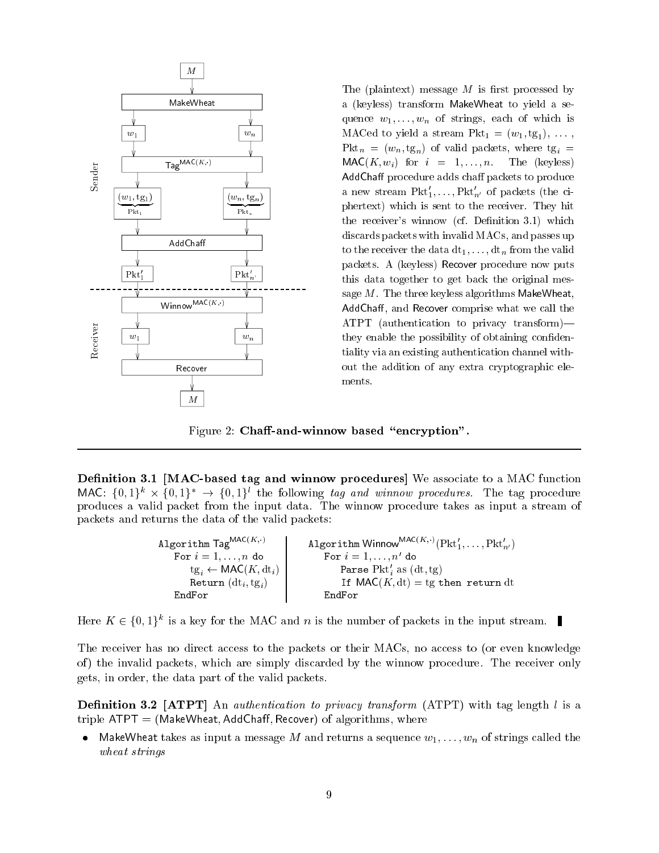

MakeWheat a (keyless) transform MakeWheat to yield a sequence  $w_1, \ldots, w_n$  of strings, each of which is  $w_1$ <br> $w_1$ a (keyless) transform MakeWheat to yield a se $q$  -contracts and  $q$  is the string of which is a contract in the which is a contract of which is a contract of which is a contract of which is a contract of which is a contract of which is a contract of which is a contr MACed to yield a stream  $Pkt_1 = (w_1, tg_1), \ldots$ , Pkt<sub>n</sub> =  $(w_n, tg_n)$  of valid packets, where tg<sub>i</sub> =  $\mathsf{MAC}(K, w_i)$  for  $i = 1, \ldots, n$ . The (keyless) AddChaff procedure adds chaff packets to produce a new stream  $Pkt'_1,\ldots,Pkt'_{n'}$  of packets (the ciphertext) which is sent to the receiver. They hit the receiver's winnow (cf. Definition 3.1) which discards packets with invalid MACs, and passes up to the receiver the data  $dt_1,\ldots, dt_n$  from the valid packets. A (keyless) Recover procedure now puts this data together to get back the original message  $M$ . The three keyless algorithms MakeWheat, AddChaff, and Recover comprise what we call the ATPT (authentication to privacy transform) $$ they enable the possibility of obtaining confidentiality via an existing authentication channel without the addition of any extra cryptographic elements.

Figure 2: Chaff-and-winnow based "encryption".

Definition 3.1 [MAC-based tag and winnow procedures] We associate to a MAC function MAC:  $\{0,1\}^k \times \{0,1\}^* \to \{0,1\}^l$  the following tag and winnow procedures. The tag procedure  $\mathcal{M}$  =  $\{0, 1\}^* \times \{0, 1\}^* \rightarrow \{0, 1\}^*$  the following *tag and winnow procedures*. The tag procedure and packet from the input data. The winnow procedure takes as input a stream of packets and returns the data of the valid packets:

> Algorithm Winnow<sup>MAC(K,:)</sup>(Pkt<sup>1</sup><sub>1</sub>,...,Pkt<sup>1</sup><sub>n'</sub>) Algorithm  $\mathsf{Tag}^{\mathsf{MAC}(K,\cdot)}$ For  $i = 1, \ldots, n$  do For  $i = 1, \ldots, n'$  do  $tg_i \leftarrow \mathsf{MAC}(K, dt_i)$ Parse Pkt'<sub>i</sub> as  $(dt, tg)$ Return  $(dt_i, tg_i)$ If  $\mathsf{MAC}(K, dt) = tg$  then return dt EndFor EndFor

Here  $\Lambda \in \{0, 1\}^n$  is a key for the MAC and n is the number of packets in the input stream.

The receiver has no direct access to the packets or their MACs, no access to (or even knowledge of ) the invalid packets, which are simply discarded by the winnow procedure. The receiver only gets, in order, the data part of the valid packets.

**Definition 3.2 [ATPT]** An *authentication to privacy transform* (ATPT) with tag length  $l$  is a triple  $ATPT = (MakeWheat, AddChaff, Recovery)$  of algorithms, where

• MakeWheat takes as input a message M and returns a sequence  $w_1,\ldots,w_n$  of strings called the wheat strings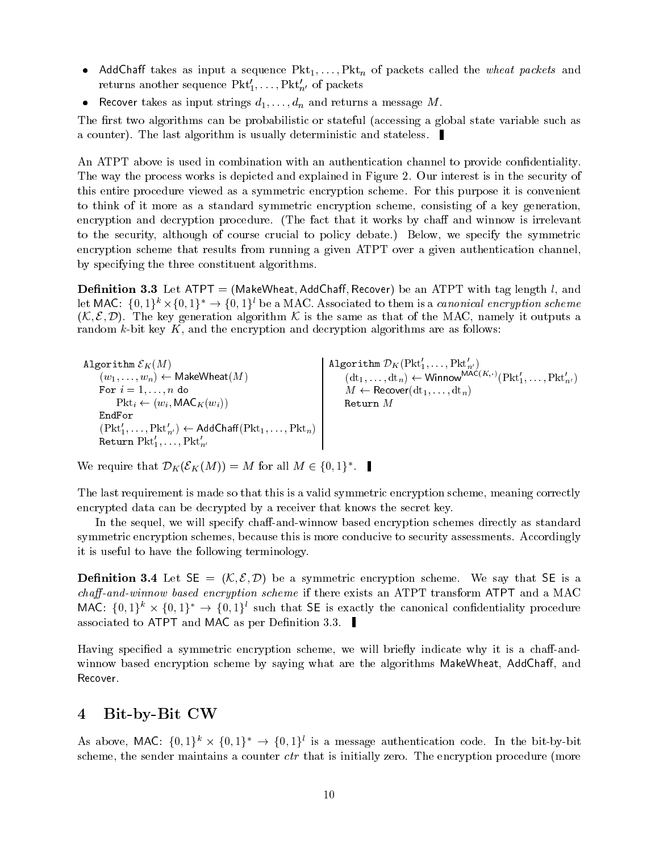- AddChaff takes as input a sequence  $Pkt_1,\ldots,Pkt_n$  of packets called the *wheat packets* and returns another sequence  $Pkt'_{1},\ldots,Pkt'_{n'}$  of packets
- Recover takes as input strings  $d_1, \ldots, d_n$  and returns a message M.

The first two algorithms can be probabilistic or stateful (accessing a global state variable such as a counter). The last algorithm is usually deterministic and stateless.

An ATPT above is used in combination with an authentication channel to provide confidentiality. The way the process works is depicted and explained in Figure 2. Our interest is in the security of this entire procedure viewed as a symmetric encryption scheme. For this purpose it is convenient to think of it more as a standard symmetric encryption scheme, consisting of a key generation, encryption and decryption procedure. (The fact that it works by chaff and winnow is irrelevant to the security, although of course crucial to policy debate.) Below, we specify the symmetric encryption scheme that results from running a given ATPT over a given authentication channel, by specifying the three constituent algorithms.

**Definition 3.3** Let ATPT = (MakeWheat, AddChaff, Recover) be an ATPT with tag length  $l$ , and let MAC:  $\{0, 1\}^n \times \{0, 1\}^n \rightarrow \{0, 1\}^n$  be a MAC. Associated to them is a *canonical encryption scheme*  $(\mathcal{K}, \mathcal{E}, \mathcal{D})$ . The key generation algorithm  $\mathcal{K}$  is the same as that of the MAC, namely it outputs a random k-bit key K, and the encryption and decryption algorithms are as follows:

Algorithm  $\mathcal{E}_K(M)$  $\sim$   $\sim$   $\sim$   $\sim$   $\sim$ (w1;:::;wn) MakeWheat(M) For i = 1;:::;n do  $P = P \cdot \mathbf{w}$  , with  $P \cdot \mathbf{w}$  , with  $P \cdot \mathbf{w}$  $(\text{Pkt}'_1,\ldots,\text{Pkt}'_{n'}) \leftarrow \text{AddChaff}(\text{Pkt}_1,\ldots,\text{Pkt}_n)$  ${\tt Return}\;{\tt Fkt}_1,\ldots,{\tt Fkt}_{n'}$ Algorithm  ${\color{black} D}_K({\color{black} \operatorname{Pkt}_1},\ldots,{\color{black} \operatorname{Pkt}_{n'}} )$  $(\text{dt}_1,\ldots,\text{dt}_n) \leftarrow \text{Winnow}(\text{Pt}_1,\ldots,\text{Pt}_n)$ M Recover(dt1;:::; dtn)

we require that  $D_K(\mathcal{L}_K(M)) = M$  for all  $M \in \{0, 1\}$ .

The last requirement is made so that this is a valid symmetric encryption scheme, meaning correctly encrypted data can be decrypted by a receiver that knows the secret key.

In the sequel, we will specify chaff-and-winnow based encryption schemes directly as standard symmetric encryption schemes, because this is more conducive to security assessments. Accordingly it is useful to have the following terminology.

**Definition 3.4** Let  $SE = (K, \mathcal{E}, \mathcal{D})$  be a symmetric encryption scheme. We say that SE is a  $chaff-and-winnow based encryption scheme$  if there exists an ATPT transform ATPT and a MAC MAC:  $\{0, 1\}^* \times \{0, 1\}^* \rightarrow \{0, 1\}^*$  such that  $\mathsf{SE}$  is exactly the canonical connuentiality procedure associated to ATPT and MAC as per Definition 3.3.

Having specified a symmetric encryption scheme, we will briefly indicate why it is a chaff-andwinnow based encryption scheme by saying what are the algorithms MakeWheat, AddChaff, and Recover.

### Bit-by-Bit CW  $\overline{\mathbf{4}}$

As above, MAC:  $\{0, 1\} \rightarrow \{0, 1\}$  is a message authentication code. In the bit-by-bit scheme, the sender maintains a counter *ctr* that is initially zero. The encryption procedure (more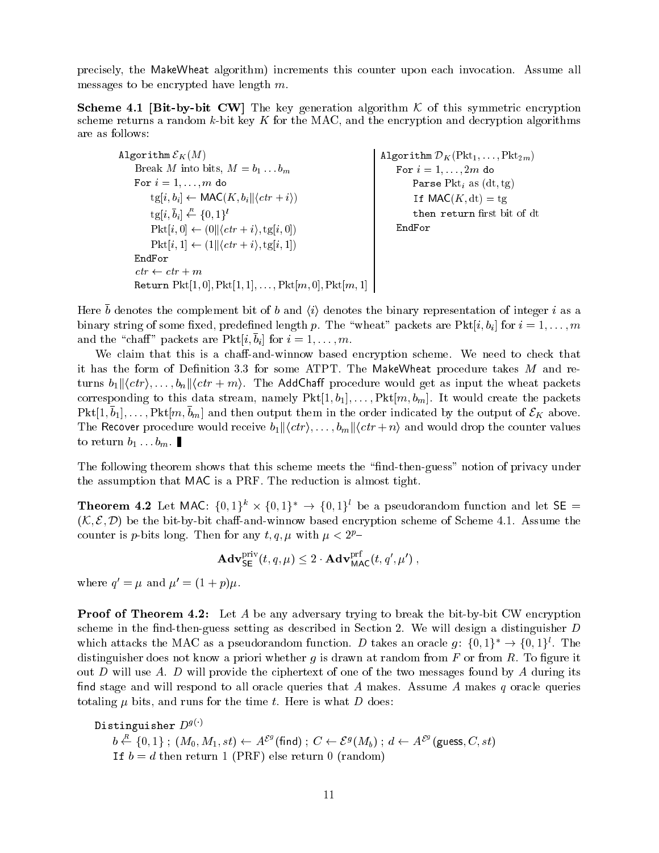precisely, the MakeWheat algorithm) increments this counter upon each invocation. Assume all messages to be encrypted have length m.

 $S$  a.e.  $\mathcal{B}$  a.e.  $\mathcal{B}$  this symmetric encryption algorithm K of this symmetric encryption algorithm K of this symmetric encryption algorithm K of this symmetric encryption algorithm K of this symmetric encryption scheme returns a random  $k$ -bit key K for the MAC, and the encryption and decryption algorithms are as follows:

 $\mathbf{L}$  .  $\mathbf{L}$  and  $\mathbf{L}$  and  $\mathbf{L}$  and  $\mathbf{L}$ Algorithm DK(Pkt1;:::; Pkt2m) For  $i = 1, \ldots, 2m$  do Break M into bits,  $M = b_1 \dots b_m$ For  $i = 1, \ldots, m$  do Parse  $Pkt_i$  as  $(dt, tg)$  $\text{tg}[i, b_i] \leftarrow \text{MAC}(K, b_i || \langle \text{ctr} + i \rangle)$ If  $\mathsf{MAC}(K, dt) = tg$ then return first bit of dt  $tg[i, b_i] \leftarrow \{0, 1\}^t$  $Pkt[i, 0] \leftarrow (0 || \langle \mathit{ctr} + i \rangle, \text{tg}[i, 0])$ EndFor  $Pkt[i, 1] \leftarrow (1||\langle \, ctr + i \rangle, \text{tg}[i, 1])$ EndFor  $ctr \leftarrow str + m$ Return  $Pkt[1, 0], Pkt[1, 1],..., Pkt[m, 0], Pkt[m, 1]$ 

Here  $\sigma$  denotes the complement bit of  $\sigma$  and  $\setminus \iota /$  denotes the binary representation of integer  $\iota$  as a binary string of some fixed, predefined length p. The "wheat" packets are Pkt[i, bi] for  $i = 1, \ldots, m$ and the chair packets are  $\Gamma$  kt $[i, i]$  for  $i = 1, \ldots, m$ .

We claim that this is a chaff-and-winnow based encryption scheme. We need to check that it has the form of Definition 3.3 for some ATPT. The MakeWheat procedure takes  $M$  and returns  $b_1\vert\vert\langle ctr\rangle,\ldots,b_n\vert\vert\langle ctr + m\rangle$ . The AddChaff procedure would get as input the wheat packets corresponding to this data stream, namely  $Pkt[1, b_1], \ldots, Pkt[m, b_m]$ . It would create the packets Pkt[1; b1 ];:::; Pkt[m; bm] and then output them in the order indicated by the output of EK above. The Recover procedure would receive  $b_1 \parallel \langle \text{ctr} \rangle, \ldots, b_m \parallel \langle \text{ctr} + n \rangle$  and would drop the counter values to return  $b_1 \ldots b_m$ .

The following theorem shows that this scheme meets the "find-then-guess" notion of privacy under the assumption that MAC is a PRF. The reduction is almost tight.

**Theorem 4.2** Let MAC:  $\{0, 1\}^n \times \{0, 1\}^n \rightarrow \{0, 1\}^n$  be a pseudorandom function and let  $\mathsf{SE} =$  $(\mathcal{K}, \mathcal{E}, \mathcal{D})$  be the bit-by-bit chaff-and-winnow based encryption scheme of Scheme 4.1. Assume the counter is p-bits long. Then for any t, q,  $\mu$  with  $\mu < 2^{p}$ -

$$
\mathbf{Adv}_{\mathsf{SE}}^{\text{priv}}(t, q, \mu) \leq 2 \cdot \mathbf{Adv}_{\text{MAC}}^{\text{prt}}(t, q', \mu') ,
$$

where  $q = \mu$  and  $\mu = (1 + p)\mu$ .

**Proof of Theorem 4.2:** Let A be any adversary trying to break the bit-by-bit CW encryption scheme in the find-then-guess setting as described in Section 2. We will design a distinguisher  $D$ which attacks the MAC as a pseudorandom function. D takes an oracle g:  $\{0, 1\}^* \rightarrow \{0, 1\}^l$ . The distinguisher does not know a priori whether g is drawn at random from  $F$  or from  $R$ . To figure it out D will use A. D will provide the ciphertext of one of the two messages found by A during its find stage and will respond to all oracle queries that A makes. Assume A makes q oracle queries totaling  $\mu$  bits, and runs for the time t. Here is what D does:

```
Distinguisher D^{g(\cdot)}
```

```
b \stackrel{R}{\leftarrow} \{0,1\}; (M_0, M_1, st) \leftarrow A^{\mathcal{E}^g}(find); C \leftarrow \mathcal{E}^g(M_b); d \leftarrow A^{\mathcal{E}^g}(guess, C, st)
If b=d then return 1 (PRF) else return 0 (random)
```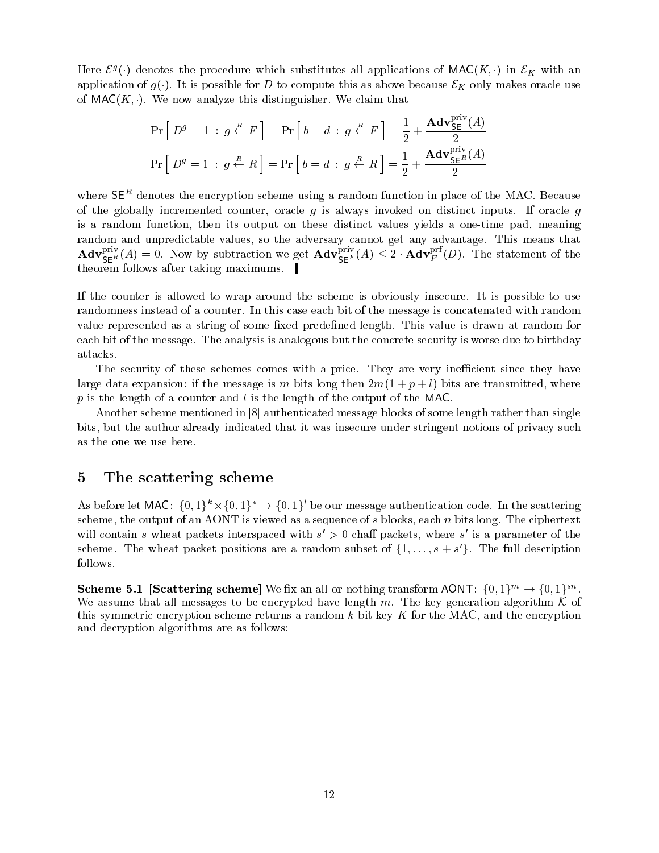Here  $\mathcal{L}^j(\cdot)$  denotes the procedure which substitutes an applications of MAC( $K, \cdot$ ) in  $\mathcal{L}_K$  with an application of  $g(\cdot)$ . It is possible for D to compute this as above because  $\mathcal{E}_K$  only makes oracle use of  $MAC(K, \cdot)$ . We now analyze this distinguisher. We claim that

$$
\Pr\left[D^g = 1 \,:\, g \stackrel{R}{\leftarrow} F\right] = \Pr\left[b = d \,:\, g \stackrel{R}{\leftarrow} F\right] = \frac{1}{2} + \frac{\mathbf{Adv}_{\mathsf{SE}}^{\text{priv}}(A)}{2}
$$
\n
$$
\Pr\left[D^g = 1 \,:\, g \stackrel{R}{\leftarrow} R\right] = \Pr\left[b = d \,:\, g \stackrel{R}{\leftarrow} R\right] = \frac{1}{2} + \frac{\mathbf{Adv}_{\mathsf{SE}^R}^{\text{priv}}(A)}{2}
$$

where  $\mathsf{S}\mathsf{E}^\tau$  denotes the encryption scheme using a random function in place of the MAC. Because of the globally incremented counter, oracle q is always invoked on distinct inputs. If oracle q is a random function, then its output on these distinct values yields a one-time pad, meaning random andunpredictable values, so the adversary cannot get any advantage. This means that  $\mathbf{Adv}_{SER}^{r}(A) = 0$ . Now by subtraction we get  $\mathbf{Adv}_{SEF}^{r}(A) \leq 2 \cdot \mathbf{Adv}_{F}^{r}(D)$ . The statement of the theorem follows after taking maximums.

If the counter is allowed to wrap around the scheme is obviously insecure. It is possible to use randomness instead of a counter. In this case each bit of the message is concatenated with random value represented as a string of some fixed predefined length. This value is drawn at random for each bit of the message. The analysis is analogous but the concrete security is worse due to birthday attacks.

The security of these schemes comes with a price. They are very inefficient since they have large data expansion: if the message is m bits long then  $2m(1 + p + l)$  bits are transmitted, where p is the length of a counter and  $l$  is the length of the output of the MAC.

Another scheme mentioned in [8] authenticated message blocks of some length rather than single bits, but the author already indicated that it was insecure under stringent notions of privacy such as the one we use here.

## 5 The scattering scheme

As before for MAC:  $\{0, 1\}^n \times \{0, 1\}^n \rightarrow \{0, 1\}^n$  be our message authentication code. In the scattering scheme, the output of an AONT is viewed as a sequence of s blocks, each  $n$  bits long. The ciphertext will contain  $s$  wheat packets interspaced with  $s \geq 0$  chail packets, where  $s$  is a parameter of the scheme. The wheat packet positions are a random subset of  $\{1,\ldots,s+s\}$ . The full description follows.

Scheme 5.1 [Scattering scheme] we hx an all-or-nothing transform AONT:  $\{0,1\}^m \rightarrow \{0,1\}^m$ . We assume that all messages to be encrypted have length m. The key generation algorithm  $K$  of this symmetric encryption scheme returns a random  $k$ -bit key  $K$  for the MAC, and the encryption and decryption algorithms are as follows: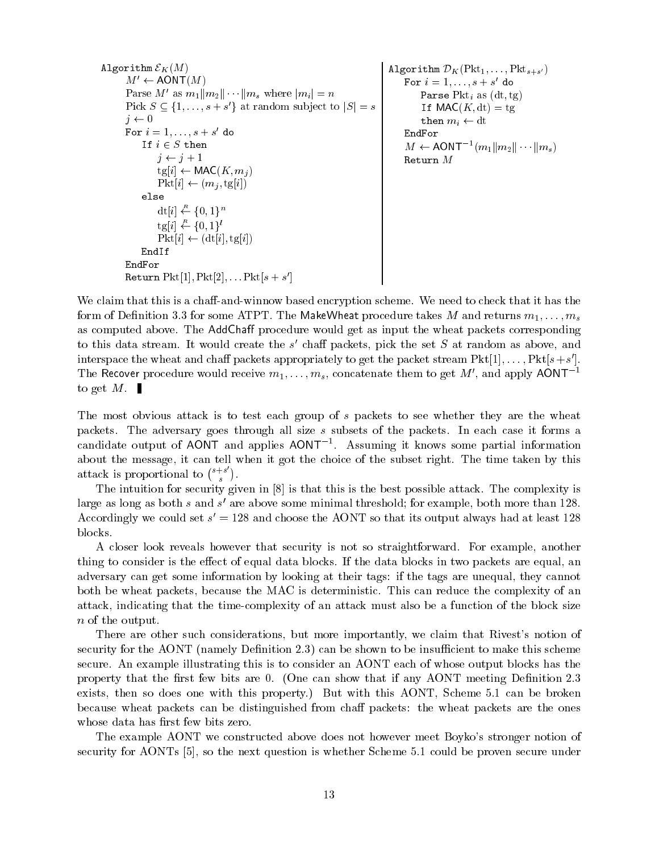```
\mathbf{A}M' \leftarrow \text{AONT}(M)Parse M' as m_1||m_2||\cdots ||m_s where |m_i| = nPick S \subseteq \{1,\ldots,s+s\} at random subject to |S| = s<br>
j \leftarrow 0j \leftarrow 0\mathtt{for}~ i=1,\dots,s+s ao
             If it is a set of the set of the set of the set of the set of the set of the set of the set of the set of the
                  j \leftarrow j + 1tg[i] \leftarrow \textsf{MAC}(K, m_j)Pkt[i] \leftarrow (m_j, tg[i])else
                  dt[i] \stackrel{\mu}{\leftarrow} \{0,1\}^n\text{tg}[i] \stackrel{R}{\leftarrow} \{0,1\}^l\small \text{Pkt}[i] \gets (\text{dt}[i], \text{tg}[i])EndIf
       EndFor
                                                                                               \frac{1}{2}{\tt ror} \ i=1,\ldots,s+s \ \ {\tt do}Parse Pkt<sub>i</sub> as (dt, tg)If \mathsf{MAC}(K, dt) = tgthen m_i \leftarrow dtEndFor
                                                                                                     M \leftarrow \text{AUN} \left[ \begin{array}{c} m_1 || m_2 || \cdots || m_s \end{array} \right]Return M
```
We claim that this is a chaff-and-winnow based encryption scheme. We need to check that it has the form of Definition 3.3 for some ATPT. The MakeWheat procedure takes M and returns  $m_1, \ldots, m_s$ as computed above. The AddChaff procedure would get as input the wheat packets corresponding to this data stream. It would create the  $s$  -chair packets, pick the set  $S$  at random as above, and interspace the wheat and chair packets appropriately to get the packet stream  $PKU[1],\ldots, PKU[8+8].$ The Recover procedure would receive  $m_1,\ldots,m_s$ , concatenate them to get M', and apply AONT<sup>-1</sup> to get  $M$ .

and the contract of the contract of the contract of the contract of the contract of the contract of

Return  $\Gamma$  KU[1],  $\Gamma$  KU[2],...  $\Gamma$  KU[ $S + S$ ]

The most obvious attack is to test each group of s packets to see whether they are the wheat packets. The adversary goes through all size s subsets of the packets. In each case it forms a candidate output of AONT and applies AONT1 . Assuming it knows some partial information about the message, it can tell when it got the choice of the subset right. The time taken by this attack is proportional to  $\binom{s+s}{s}$ .

The intuition for security given in [8] is that this is the best possible attack. The complexity is large as long as both  $s$  and  $s$  are above some minimal threshold; for example, both more than 120. Accordingly we could set  $s = 128$  and choose the AONT so that its output always had at least 128  $\,$ blocks.

A closer look reveals however that security is not so straightforward. For example, another thing to consider is the effect of equal data blocks. If the data blocks in two packets are equal, an adversary can get some information by looking at their tags: if the tags are unequal, they cannot both be wheat packets, because the MAC is deterministic. This can reduce the complexity of an attack, indicating that the time-complexity of an attack must also be a function of the block size n of the output.

There are other such considerations, but more importantly, we claim that Rivest's notion of security for the AONT (namely Definition 2.3) can be shown to be insufficient to make this scheme secure. An example illustrating this is to consider an AONT each of whose output blocks has the property that the first few bits are 0. (One can show that if any AONT meeting Definition 2.3 exists, then so does one with this property.) But with this AONT, Scheme 5.1 can be broken because wheat packets can be distinguished from chaff packets: the wheat packets are the ones whose data has first few bits zero.

The example AONT we constructed above does not however meet Boyko's stronger notion of security for AONTs [5], so the next question is whether Scheme 5.1 could be proven secure under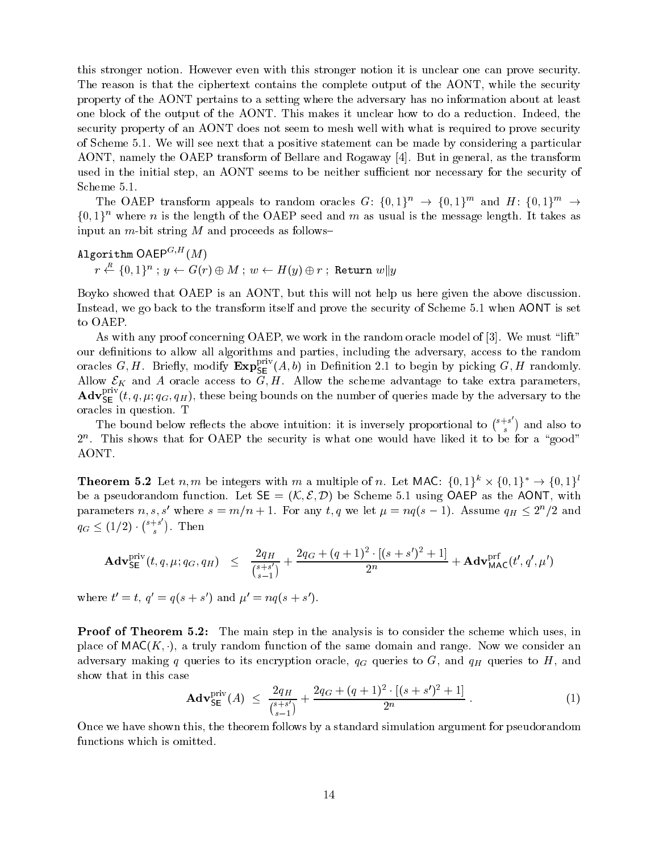this stronger notion. However even with this stronger notion it is unclear one can prove security. The reason is that the ciphertext contains the complete output of the AONT, while the security property of the AONT pertains to a setting where the adversary has no information about at least one block of the output of the AONT. This makes it unclear how to do a reduction. Indeed, the security property of an AONT does not seem to mesh well with what is required to prove security of Scheme 5.1. We will see next that a positive statement can be made by considering a particular AONT, namely the OAEP transform of Bellare and Rogaway [4]. But in general, as the transform used in the initial step, an AONT seems to be neither sufficient nor necessary for the security of Scheme 5.1.

The OAEP transform appeals to random oracles G:  $\{0,1\}^n \rightarrow \{0,1\}^n$  and  $H: \{0,1\}^n \rightarrow$  $\{0, 1\}^n$  where n is the length of the OAEP seed and m as usual is the message length. It takes as input an  $m$ -bit string  $M$  and proceeds as follows-

Algorithm  $\mathsf{OAEP}^{G,H}(M)$  $r \leftarrow \{0, 1\}^n$  ;  $y \leftarrow G(r) \oplus M$  ;  $w \leftarrow H(y) \oplus r$  ; Return  $w||y$ 

Boyko showed that OAEP is an AONT, but this will not help us here given the above discussion. Instead, we go back to the transform itself and prove the security of Scheme 5.1 when AONT is set to OAEP.

As with any proof concerning OAEP, we work in the random oracle model of [3]. We must "lift" our definitions to allow all algorithms and parties, including the adversary, access to the random oracles  $G, H$ . Briefly, modify  $\mathtt{Exp}_{\mathsf{SE}}^{\ast\ast}(A, b)$  in Definition 2.1 to begin by picking  $G, H$  randomly.  $A$ liow E $\alpha$  oracle access to G; H. Allow the scheme advantage to take extra parameters, parameters, parameters, parameters, parameters, parameters, parameters, parameters, parameters, parameters, parameters, parameters,  ${\bf Adv}_{\sf SE}^+(t,q,\mu;q_G,q_H),$  these being bounds on the number of queries made by the adversary to the oracles in question. T

The bound below reflects the above intuition: it is inversely proportional to  $\binom{s+s}{s}$  and also to  $2$  . This shows that for OAEP the security is what one would have liked it to be for a  $\,$  good  $\,$ AONT.

**Theorem 5.2** Let n, m be integers with m a multiple of n. Let MAC:  $\{0, 1\}^* \times \{0, 1\}^* \rightarrow \{0, 1\}^*$ be a pseudorandom function. Let  $SE = (K, \mathcal{E}, \mathcal{D})$  be Scheme 5.1 using OAEP as the AONT, with parameters  $n, s, s'$  where  $s = m/n + 1$ . For any  $t, q$  we let  $\mu = nq(s-1)$ . Assume  $q_H \leq 2^n/2$  and  $q_G \leq (1/2) \cdot {\binom{s+s}{s}}$ . Then

$$
\mathbf{Adv}_{\mathsf{SE}}^{\mathsf{priv}}(t,q,\mu;q_G,q_H) \;\; \leq \;\; \frac{2q_H}{\binom{s+s'}{s-1}} + \frac{2q_G + (q+1)^2 \cdot [(s+s')^2+1]}{2^n} + \mathbf{Adv}_{\mathsf{MAC}}^{\mathsf{prf}}(t',q',\mu')
$$

where  $t = t$ ,  $q = q(s + s)$  and  $\mu = nq(s + s)$ .

**Proof of Theorem 5.2:** The main step in the analysis is to consider the scheme which uses, in place of  $\textsf{MAC}(K, \cdot)$ , a truly random function of the same domain and range. Now we consider an adversary making q queries to its encryption oracle,  $q_G$  queries to G, and  $q_H$  queries to H, and show that in this case

$$
\mathbf{Adv}_{\mathsf{SE}}^{\text{priv}}(A) \ \leq \ \frac{2q_H}{\binom{s+s'}{s-1}} + \frac{2q_G + (q+1)^2 \cdot [(s+s')^2 + 1]}{2^n} \ . \tag{1}
$$

Once we have shown this, the theorem follows by a standard simulation argument for pseudorandom functions which is omitted.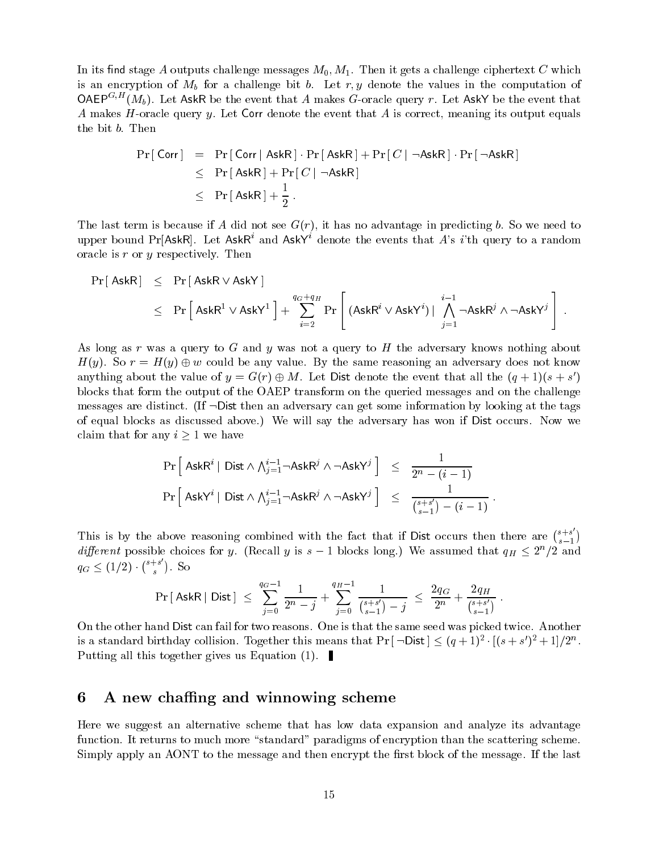In its find stage A outputs challenge messages  $M_0, M_1$ . Then it gets a challenge ciphertext C which is an encryption of  $M_b$  for a challenge bit b. Let r, y denote the values in the computation of OAEP<sup>G,H</sup>(M<sub>b</sub>). Let AskR be the event that A makes G-oracle query r. Let AskY be the event that A makes H-oracle query y. Let Corr denote the event that  $A$  is correct, meaning its output equals the bit b. Then

$$
Pr[Corr] = Pr[Corr | AskR] \cdot Pr[AskR] + Pr[C | \neg AskR] \cdot Pr[\neg AskR]
$$
  
\n
$$
\leq Pr[AskR] + Pr[C | \neg AskR]
$$
  
\n
$$
\leq Pr[AskR] + \frac{1}{2}.
$$

The last term is because if A did not see  $G(r)$ , it has no advantage in predicting b. So we need to upper bound Pr[AskR]. Let AskR<sup>i</sup> and AskY<sup>i</sup> denote the events that A's i'th query to a random oracle is  $r$  or  $y$  respectively. Then

$$
\begin{array}{lcl} \Pr[\,\mathsf{AskR}\,] &\leq & \Pr[\,\mathsf{AskR}\vee\mathsf{AskY}\,] \\ &\leq & \Pr\left[\,\mathsf{AskR}^1\vee\mathsf{AskY}^1\,\right] + \sum_{i=2}^{q_G+q_H} \Pr\left[\,\left(\mathsf{AskR}^i\vee\mathsf{AskY}^i\right) \big|\, \bigwedge_{j=1}^{i-1} \neg \mathsf{AskR}^j \wedge \neg \mathsf{AskY}^j\,\right] \, . \end{array}
$$

As long as r was a query to G and y was not a query to H the adversary knows nothing about  $H(y)$ . So reasoning be any value. By the same reasoning and adversary does not know value. By the same reasoning and adversary does not know value. By the same reasoning and adversary does not know value. By the same reas anything about the value of  $y = G(r) \oplus M$ . Let Dist denote the event that all the  $(q + 1)(s + s')$ blocks that form the output of the OAEP transform on the queried messages and on the challenge messages are distinct. (If  $\neg$ Dist then an adversary can get some information by looking at the tags of equal blocks as discussed above.) We will say the adversary has won if Dist occurs. Now we claim that for any  $i > 1$  we have

$$
\begin{array}{lcl} \Pr\left[\right. {\sf AskR}^{i} \left| \right. {\sf Dist} \wedge \bigwedge_{j=1}^{i-1} \neg {\sf AskR}^{j} \wedge \neg {\sf AskY}^{j} \left] & \leq & \frac{1}{2^{n}-(i-1)} \\ \Pr\left[\left. {\sf AskY}^{i} \left| \right. {\sf Dist} \wedge \bigwedge_{j=1}^{i-1} \neg {\sf AskR}^{j} \wedge \neg {\sf AskY}^{j} \right. \right] & \leq & \frac{1}{\binom{s+s'}{s-1}-(i-1)} \ . \end{array}
$$

This is by the above reasoning combined with the fact that if Dist occurs then there are  $\binom{s+s}{s-1}$ different possible choices for y. (Recall y is  $s-1$  blocks long.) We assumed that  $q_H \leq 2^n/2$  and  $q_G \leq (1/2) \cdot {\binom{s+s}{s}}$ . So

$$
\Pr\left[\text{ AskR} \mid \text{Dist}\right] \; \le \; \sum_{j=0}^{q_G-1} \frac{1}{2^n-j} + \sum_{j=0}^{q_H-1} \frac{1}{\binom{s+s'}{s-1}-j} \; \le \; \frac{2q_G}{2^n} + \frac{2q_H}{\binom{s+s'}{s-1}} \; .
$$

On the other hand Dist can fail for two reasons. One is that the same seed was picked twice. Another is a standard birthday conision. Together this means that Pr  $[$   $\neg$ Dist  $[$   $\leq$   $(q+1)^2$   $\cdot$   $|(s+s|)^2+1|/2^2$  . Putting all this together gives us Equation  $(1)$ .

## 6 A new chaffing and winnowing scheme

Here we suggest an alternative scheme that has low data expansion and analyze its advantage function. It returns to much more "standard" paradigms of encryption than the scattering scheme. Simply apply an AONT to the message and then encrypt the first block of the message. If the last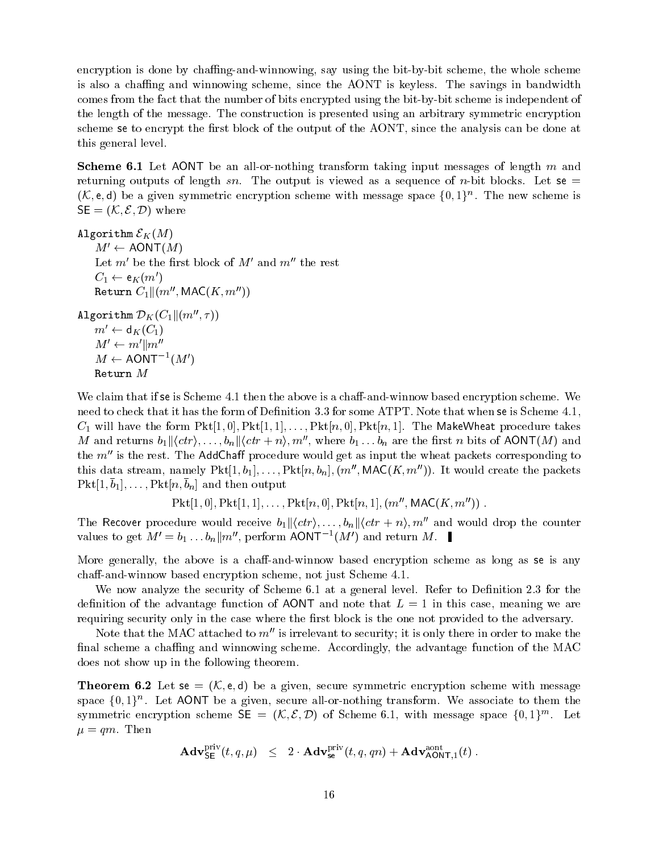encryption is done by chaffing-and-winnowing, say using the bit-by-bit scheme, the whole scheme is also a chaffing and winnowing scheme, since the AONT is keyless. The savings in bandwidth comes from the fact that the number of bits encrypted using the bit-by-bit scheme is independent of the length of the message. The construction is presented using an arbitrary symmetric encryption scheme se to encrypt the first block of the output of the AONT, since the analysis can be done at this general level.

**Scheme 6.1** Let AONT be an all-or-nothing transform taking input messages of length  $m$  and returning outputs of length sn. The output is viewed as a sequence of n-bit blocks. Let se  $=$  $(\mathcal{K}, e, a)$  be a given symmetric encryption scheme with message space  $\{0, 1\}$  . The new scheme is  $SE = (K, \mathcal{E}, \mathcal{D})$  where

 $\mathbf{B}$  and  $\mathbf{B}$  and  $\mathbf{B}$  and  $\mathbf{B}$  $M' \leftarrow \text{AONT}(M)$ Let  $m'$  be the first block of  $M'$  and  $m''$  the rest  $C_1 \leftarrow \mathsf{e}_K(m)$ Return  $C_1 \|(m'', \text{MAC}(K, m''))$ Algorithm  $\nu_K$ ( $C_1$ ||( $m$ , $\tau$ ))  $m' \leftarrow d_K(C_1)$  $M' \leftarrow m' \Vert m''$  $M \leftarrow$  AUNI  $(M)$ 

Return  $M$ 

We claim that if se is Scheme  $4.1$  then the above is a chaff-and-winnow based encryption scheme. We need to check that it has the form of Definition 3.3 for some ATPT. Note that when se is Scheme 4.1,  $C_1$  will have the form  $Pkt[1,0], Ptt[1,1],\ldots, Ptt[n,0], Ptt[n,1].$  The MakeWheat procedure takes M and returns  $b_1 || \langle \text{ctr} \rangle, \ldots, b_n || \langle \text{ctr} + n \rangle, m'',$  where  $b_1 \ldots b_n$  are the first n bits of AONT(M) and the  $m<sup>0</sup>$  is the rest. The AddChaff procedure would get as input the wheat packets corresponding to this data stream, namely  $Pkt[1, b_1], \ldots, Pkt[n, b_n], (m'', MAC(K, m''))$ . It would create the packets  $\mathbf{I}$   $\mathbf{A}$ 

 $Pkt[1,0], Pkt[1,1],\ldots, Pkt[n,0], Pkt[n,1], (m'', MAC(K,m''))$ .

The Recover procedure would receive  $b_1 \|\langle \text{ctr}\rangle, \ldots, b_n \|\langle \text{ctr} + n\rangle, m^n\rangle$  and would drop the counter values to get  $M = b_1 \dots b_n || m$ , perform AONT $\top (M)$  and return M.

More generally, the above is a chaff-and-winnow based encryption scheme as long as se is any chaff-and-winnow based encryption scheme, not just Scheme 4.1.

We now analyze the security of Scheme 6.1 at a general level. Refer to Definition 2.3 for the definition of the advantage function of AONT and note that  $L = 1$  in this case, meaning we are requiring security only in the case where the first block is the one not provided to the adversary.

Note that the MAC attached to  $m''$  is irrelevant to security; it is only there in order to make the final scheme a chaffing and winnowing scheme. Accordingly, the advantage function of the MAC does not show up in the following theorem.

**Theorem 6.2** Let se =  $(K, e, d)$  be a given, secure symmetric encryption scheme with message  $space$   $\{0,1\}^n$ . Let AONT be a given, secure all-or-nothing transform. We associate to them the symmetric encryption scheme  $\mathsf{SE} = (\mathcal{N}, \mathcal{L}, \mathcal{D})$  of Scheme 6.1, with message space  $\{0, 1\}^{\ldots}$ . Let  $\mu = qm$ . Then

$$
\mathbf{Adv}^{\mathop{\text{\rm priv}}}_{\mathsf{SE}}(t,q,\mu) \;\; \leq \;\; 2 \cdot \mathbf{Adv}^{\mathop{\text{\rm priv}}}_{\mathsf{se}}(t,q,qn) + \mathbf{Adv}^{\mathop{\text{\rm aont}}}_{\mathsf{AONT},1}(t) \; .
$$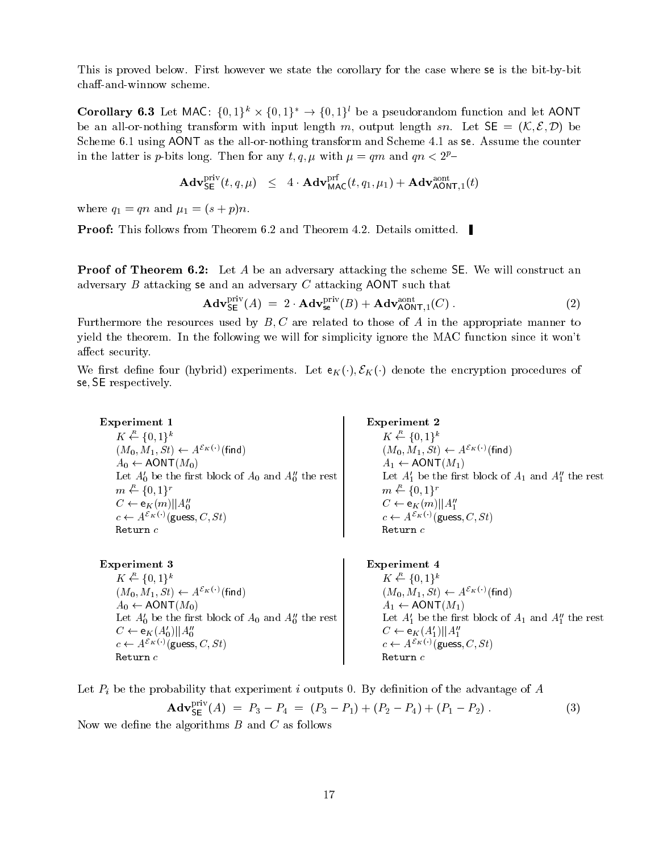This is proved below. First however we state the corollary for the case where se is the bit-by-bit chaff-and-winnow scheme.

Corollary 6.3 Let MAC:  $\{0, 1\}^n \times \{0, 1\}^n \rightarrow \{0, 1\}^n$  be a pseudorandom function and let AONT be an all-or-nothing transform with input length m, output length sn. Let  $SE = (K, \mathcal{E}, \mathcal{D})$  be Scheme 6.1 using AONT as the all-or-nothing transform and Scheme 4.1 as se. Assume the counter in the latter is p-bits long. Then for any t, q,  $\mu$  with  $\mu = qm$  and  $qn < 2^p$ -

$$
\mathbf{Adv}^{\mathsf{priv}}_{\mathsf{SE}}(t,q,\mu) \;\; \leq \;\; 4 \cdot \mathbf{Adv}^{\mathsf{prf}}_{\mathsf{MAC}}(t,q_1,\mu_1) + \mathbf{Adv}^{\mathsf{aont}}_{\mathsf{AONT},1}(t)
$$

where  $q_1 = qn$  and  $\mu_1 = (s + p)n$ .

**Proof:** This follows from Theorem 6.2 and Theorem 4.2. Details omitted.

**Proof of Theorem 6.2:** Let A be an adversary attacking the scheme SE. We will construct an adversary B attacking se and an adversary C attacking AONT such that

$$
\mathbf{Adv}_{\mathsf{SE}}^{\text{priv}}(A) = 2 \cdot \mathbf{Adv}_{\mathsf{se}}^{\text{priv}}(B) + \mathbf{Adv}_{\mathsf{AONT},1}^{\text{aont}}(C) \,. \tag{2}
$$

Furthermore the resources used by  $B, C$  are related to those of A in the appropriate manner to yield the theorem. In the following we will for simplicity ignore the MAC function since it won't affect security.

We first define four (hybrid) experiments. Let  $e_K(\cdot), \mathcal{E}_K(\cdot)$  denote the encryption procedures of se; SE respectively.

Experiment 1  $K \stackrel{R}{\leftarrow} \{0,1\}^k$  $(M_0, M_1, St) \leftarrow A^{\mathcal{E}_K(\cdot)}$  (find)  $A_0 \leftarrow \text{AONT}(M_0)$ Let  $A_0'$  be the first block of  $A_0$  and  $A_0''$  the rest  $m \stackrel{R}{\leftarrow} \{0,1\}^r$  $C \leftarrow \mathsf{e}_K(m)||A_0^{\prime\prime}$  $c \leftarrow A^{\mathcal{E}_K(\cdot)}(\mathsf{guess}, C, St)$ Return  $c$ 

Experiment 3  $K \stackrel{R}{\leftarrow} \{0,1\}^k$  $(M_0, M_1, St) \leftarrow A^{\mathcal{E}_K(\cdot)}$  (find)  $A_0 \leftarrow \text{AONT}(M_0)$ Let  $A'_0$  be the first block of  $A_0$  and  $A''_0$  the rest  $C \leftarrow \mathsf{e}_K(A_0')||A_0''|$  $c \leftarrow A^{\mathcal{E}_K(\cdot)}$ (guess,  $C, St$ ) Return  $c$ 

Experiment 2  $K \stackrel{R}{\leftarrow} \{0,1\}^k$  $(M_0, M_1, St) \leftarrow A^{\mathcal{E}_K(\cdot)}(\text{find})$  $A_1 \leftarrow \text{AONT}(M_1)$ Let  $A_1'$  be the first block of  $A_1$  and  $A_1''$  the rest  $m \leftarrow \{0,1\}^r$  $C \leftarrow \mathsf{e}_K(m)||A_1''$  $c \leftarrow A^{\mathcal{E}_K(\cdot)}(\text{guess}, C, St)$  $Return c$ 

Experiment 4  $K \stackrel{R}{\leftarrow} \{0,1\}^k$  $(M_0, M_1, St) \leftarrow A^{\mathcal{E}_K(\cdot)}$ (find)  $A_1 \leftarrow \text{AONT}(M_1)$ Let  $A_1'$  be the first block of  $A_1$  and  $A_1''$  the rest  $C \leftarrow \mathsf{e}_K(A_1')||A_1''$  $c \leftarrow A^{\mathcal{E}_K(\cdot)}$  (guess,  $C, St$ ) Return c

Let  $P_i$  be the probability that experiment i outputs 0. By definition of the advantage of A

$$
\mathbf{Adv}_{\mathsf{SE}}^{\text{priv}}(A) = P_3 - P_4 = (P_3 - P_1) + (P_2 - P_4) + (P_1 - P_2) \,. \tag{3}
$$
\nthe algorithms  $B$  and  $C$  as follows

Now we define Now we dene the algorithms B and C as follows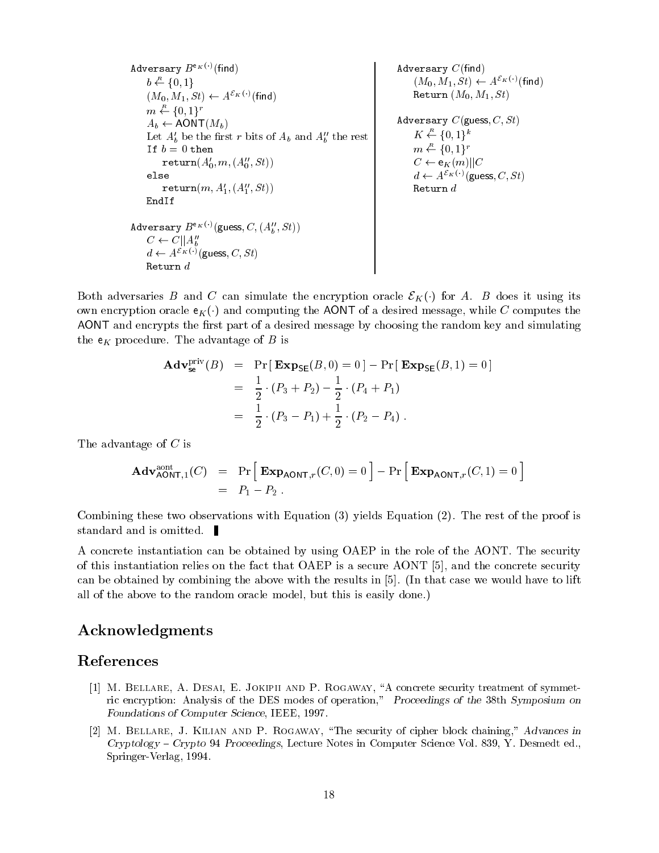Adversary  $B^{\mathsf{e}_K(\cdot)}(\mathsf{find})$  $b \stackrel{R}{\leftarrow} \{0,1\}$  $(M_0, M_1, St) \leftarrow A^{\mathcal{E}_K(\cdot)}$ (find)  $m \leftarrow \{0,1\}^r$  $A_b \leftarrow \text{AONT}(M_b)$ Let  $A'_b$  be the first r bits of  $A_b$  and  $A''_b$  the rest If  $b=0$  then  $return(A'_0, m, (A''_0, St))$ else  $\mathtt{return}(m, A'_1, (A''_1, St))$ EndIf  $\texttt{Aaversary } D^{\texttt{max}} \cup (\texttt{guess}, \texttt{C}, (\texttt{A}_b, \texttt{b}_b))$  $C \leftarrow C||A_b$  $a \leftarrow A^{-\alpha} \vee (\text{guess}, \cup, \partial t)$ Return  $d$ Adversary  $C$ (find)  $(M_0, M_1, St) \leftarrow A^{\mathcal{E}_K(\cdot)}(\mathsf{find})$ Return  $(M_0, M_1, St)$ Adversary  $C$ (guess,  $C, St$ )  $K \stackrel{R}{\leftarrow} \{0,1\}^k$  $m \stackrel{R}{\leftarrow} \{0,1\}^r$  $C \leftarrow e_K(m) || C$  $d \leftarrow A^{\mathcal{E}_K(\cdot)}$ (guess,  $C, St$ )

 $B = \begin{pmatrix} \n\frac{1}{2} & \frac{1}{2} & \frac{1}{2} & \frac{1}{2} & \frac{1}{2} & \frac{1}{2} & \frac{1}{2} & \frac{1}{2} & \frac{1}{2} & \frac{1}{2} & \frac{1}{2} & \frac{1}{2} & \frac{1}{2} & \frac{1}{2} & \frac{1}{2} & \frac{1}{2} & \frac{1}{2} & \frac{1}{2} & \frac{1}{2} & \frac{1}{2} & \frac{1}{2} & \frac{1}{2} & \frac{1}{2} & \frac{1}{2} & \frac{1}{2} & \frac{1}{2} & \frac$ own encryption oracle  $e_K(\cdot)$  and computing the AONT of a desired message, while C computes the AONT and encrypts the first part of a desired message by choosing the random key and simulating the  $e_K$  procedure. The advantage of  $B$  is

$$
\begin{aligned}\n\mathbf{Adv}_{\mathbf{se}}^{\text{priv}}(B) &= \Pr\left[\ \mathbf{Exp}_{\mathbf{SE}}(B,0) = 0 \ \right] - \Pr\left[\ \mathbf{Exp}_{\mathbf{SE}}(B,1) = 0 \right] \\
&= \frac{1}{2} \cdot (P_3 + P_2) - \frac{1}{2} \cdot (P_4 + P_1) \\
&= \frac{1}{2} \cdot (P_3 - P_1) + \frac{1}{2} \cdot (P_2 - P_4)\n\end{aligned}
$$

The advantage of C is

$$
\mathbf{Adv}_{\mathsf{AONT},1}^{\text{aont}}(C) = \Pr\Big[\mathbf{Exp}_{\mathsf{AONT},r}(C,0) = 0\Big] - \Pr\Big[\mathbf{Exp}_{\mathsf{AONT},r}(C,1) = 0\Big] \n= P_1 - P_2.
$$

Combining these two observations with Equation (3) yields Equation (2). The rest of the proof is standard and is omitted.

A concrete instantiation can be obtained by using OAEP in the role of the AONT. The security of this instantiation relies on the fact that OAEP is a secure AONT [5], and the concrete security can be obtained by combining the above with the results in [5]. (In that case we would have to lift all of the above to the random oracle model, but this is easily done.)

## Acknowledgments

## References

- [1] M. BELLARE, A. DESAI, E. JOKIPII AND P. ROGAWAY, "A concrete security treatment of symmetric encryption: Analysis of the DES modes of operation," Proceedings of the 38th Symposium on Foundations of Computer Science, IEEE, 1997.
- [2] M. Bellare, J. Kilian and P. Rogaway, \The security of cipher block chaining," Advances in  $Cryptography - Crypto 94$  Proceedings, Lecture Notes in Computer Science Vol. 839, Y. Desmedt ed., Springer-Verlag, 1994.